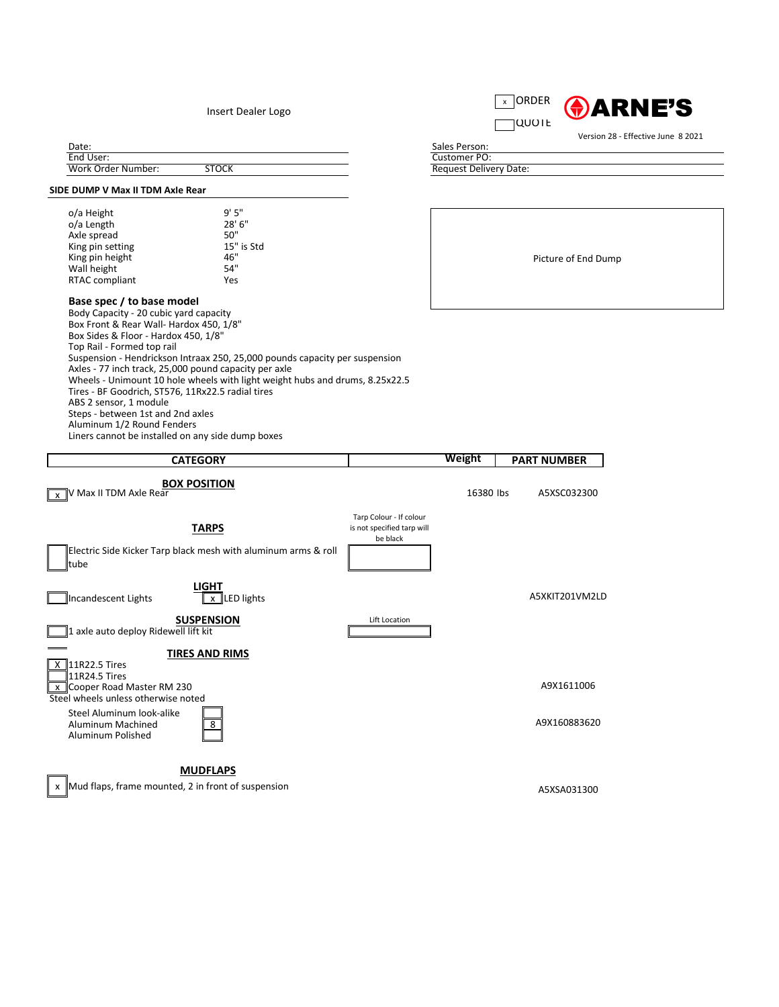

## **SIDE DUMP V Max II TDM Axle Rear**

| o/a Height            | 9'5''      |
|-----------------------|------------|
| o/a Length            | 28' 6"     |
| Axle spread           | 50"        |
| King pin setting      | 15" is Std |
| King pin height       | 46"        |
| Wall height           | 54"        |
| <b>RTAC compliant</b> | Yes        |
|                       |            |

## **Base spec / to base model**

Body Capacity - 20 cubic yard capacity Box Front & Rear Wall- Hardox 450, 1/8" Box Sides & Floor - Hardox 450, 1/8" Top Rail - Formed top rail Suspension - Hendrickson Intraax 250, 25,000 pounds capacity per suspension Axles - 77 inch track, 25,000 pound capacity per axle Wheels - Unimount 10 hole wheels with light weight hubs and drums, 8.25x22.5 Tires - BF Goodrich, ST576, 11Rx22.5 radial tires ABS 2 sensor, 1 module Steps - between 1st and 2nd axles Aluminum 1/2 Round Fenders Liners cannot be installed on any side dump boxes

| valc.              |              |
|--------------------|--------------|
| End User:          |              |
| Work Order Number: | <b>STOCK</b> |



Steel Aluminum look-alike Aluminum Machined  $\boxed{8}$   $\boxed{8}$ Aluminum Polished



| <b>CATEGORY</b>                                                                                |                                                                   | <b>Weight</b> | <b>PART NUMBER</b> |
|------------------------------------------------------------------------------------------------|-------------------------------------------------------------------|---------------|--------------------|
| <b>BOX POSITION</b><br>$\sqrt{\frac{1}{x}}$ V Max II TDM Axle Rear                             |                                                                   | 16380 lbs     | A5XSC032300        |
| <b>TARPS</b><br>Electric Side Kicker Tarp black mesh with aluminum arms & roll<br><b>Itube</b> | Tarp Colour - If colour<br>is not specified tarp will<br>be black |               |                    |
| <b>LIGHT</b><br>Incandescent Lights<br>$x$  LED lights                                         |                                                                   |               | A5XKIT201VM2LD     |
| <b>SUSPENSION</b><br>axle auto deploy Ridewell lift kit                                        | Lift Location                                                     |               |                    |
| <b>TIRES AND RIMS</b><br>$\overline{X}$ 11R22.5 Tires                                          |                                                                   |               |                    |

Picture of End Dump

Request Delivery Date: Customer PO: Sales Person:

## **MUDFLAPS**

x Mud flaps, frame mounted, 2 in front of suspension example to the set of the set of the A5XSA031300 x and A5XSA031300 x assets the A5XSA031300 x assets the A5XSA031300 x assets the A5XSA031300 x and A5XSA031300 x and A5X

Version 28 - Effective June 8 2021

Insert Dealer Logo

Date: